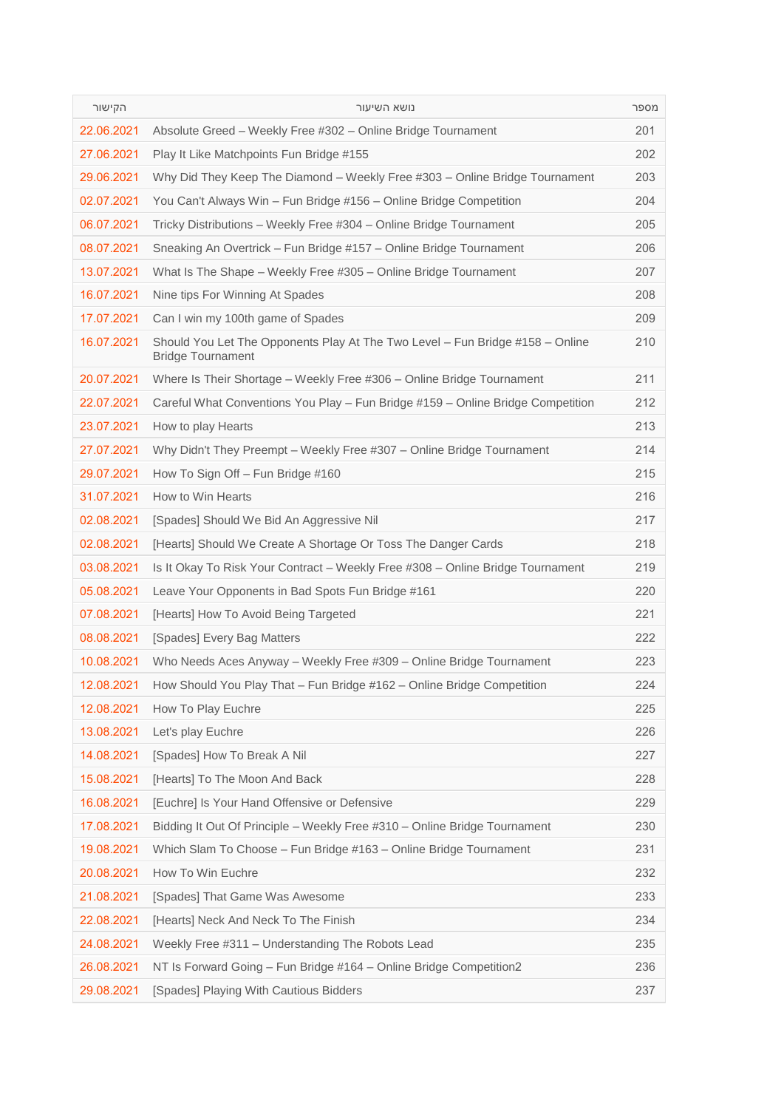| הקישור     | נושא השיעור                                                                                               | מספר |
|------------|-----------------------------------------------------------------------------------------------------------|------|
| 22.06.2021 | Absolute Greed - Weekly Free #302 - Online Bridge Tournament                                              | 201  |
| 27.06.2021 | Play It Like Matchpoints Fun Bridge #155                                                                  | 202  |
| 29.06.2021 | Why Did They Keep The Diamond – Weekly Free #303 – Online Bridge Tournament                               | 203  |
| 02.07.2021 | You Can't Always Win - Fun Bridge #156 - Online Bridge Competition                                        | 204  |
| 06.07.2021 | Tricky Distributions - Weekly Free #304 - Online Bridge Tournament                                        | 205  |
| 08.07.2021 | Sneaking An Overtrick - Fun Bridge #157 - Online Bridge Tournament                                        | 206  |
| 13.07.2021 | What Is The Shape - Weekly Free #305 - Online Bridge Tournament                                           | 207  |
| 16.07.2021 | Nine tips For Winning At Spades                                                                           | 208  |
| 17.07.2021 | Can I win my 100th game of Spades                                                                         | 209  |
| 16.07.2021 | Should You Let The Opponents Play At The Two Level - Fun Bridge #158 - Online<br><b>Bridge Tournament</b> | 210  |
| 20.07.2021 | Where Is Their Shortage - Weekly Free #306 - Online Bridge Tournament                                     | 211  |
| 22.07.2021 | Careful What Conventions You Play - Fun Bridge #159 - Online Bridge Competition                           | 212  |
| 23.07.2021 | How to play Hearts                                                                                        | 213  |
| 27.07.2021 | Why Didn't They Preempt – Weekly Free #307 – Online Bridge Tournament                                     | 214  |
| 29.07.2021 | How To Sign Off - Fun Bridge #160                                                                         | 215  |
| 31.07.2021 | How to Win Hearts                                                                                         | 216  |
| 02.08.2021 | [Spades] Should We Bid An Aggressive Nil                                                                  | 217  |
| 02.08.2021 | [Hearts] Should We Create A Shortage Or Toss The Danger Cards                                             | 218  |
| 03.08.2021 | Is It Okay To Risk Your Contract – Weekly Free #308 – Online Bridge Tournament                            | 219  |
| 05.08.2021 | Leave Your Opponents in Bad Spots Fun Bridge #161                                                         | 220  |
| 07.08.2021 | [Hearts] How To Avoid Being Targeted                                                                      | 221  |
| 08.08.2021 | [Spades] Every Bag Matters                                                                                | 222  |
| 10.08.2021 | Who Needs Aces Anyway – Weekly Free #309 – Online Bridge Tournament                                       | 223  |
| 12.08.2021 | How Should You Play That - Fun Bridge #162 - Online Bridge Competition                                    | 224  |
| 12.08.2021 | How To Play Euchre                                                                                        | 225  |
| 13.08.2021 | Let's play Euchre                                                                                         | 226  |
| 14.08.2021 | [Spades] How To Break A Nil                                                                               | 227  |
| 15.08.2021 | [Hearts] To The Moon And Back                                                                             | 228  |
| 16.08.2021 | [Euchre] Is Your Hand Offensive or Defensive                                                              | 229  |
| 17.08.2021 | Bidding It Out Of Principle - Weekly Free #310 - Online Bridge Tournament                                 | 230  |
| 19.08.2021 | Which Slam To Choose - Fun Bridge #163 - Online Bridge Tournament                                         | 231  |
| 20.08.2021 | How To Win Euchre                                                                                         | 232  |
| 21.08.2021 | [Spades] That Game Was Awesome                                                                            | 233  |
| 22.08.2021 | [Hearts] Neck And Neck To The Finish                                                                      | 234  |
| 24.08.2021 | Weekly Free #311 - Understanding The Robots Lead                                                          | 235  |
| 26.08.2021 | NT Is Forward Going - Fun Bridge #164 - Online Bridge Competition2                                        | 236  |
| 29.08.2021 | [Spades] Playing With Cautious Bidders                                                                    | 237  |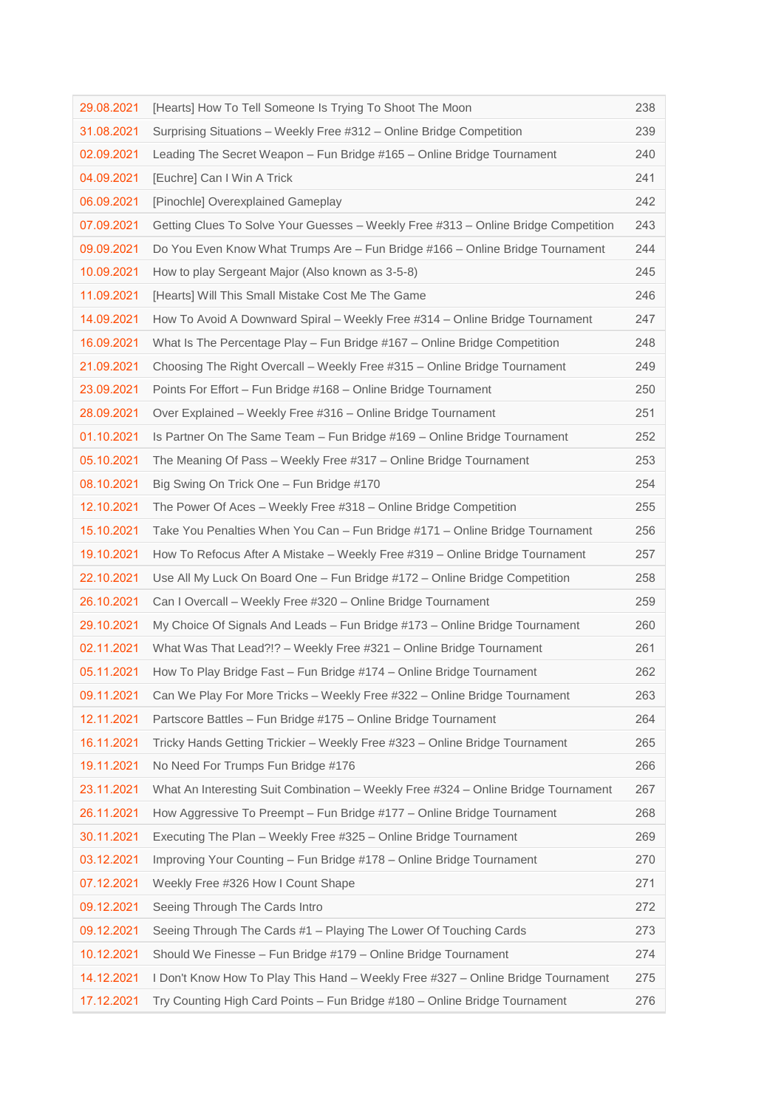| 29.08.2021 | [Hearts] How To Tell Someone Is Trying To Shoot The Moon                           | 238 |
|------------|------------------------------------------------------------------------------------|-----|
| 31.08.2021 | Surprising Situations - Weekly Free #312 - Online Bridge Competition               | 239 |
| 02.09.2021 | Leading The Secret Weapon - Fun Bridge #165 - Online Bridge Tournament             | 240 |
| 04.09.2021 | [Euchre] Can I Win A Trick                                                         | 241 |
| 06.09.2021 | [Pinochle] Overexplained Gameplay                                                  | 242 |
| 07.09.2021 | Getting Clues To Solve Your Guesses - Weekly Free #313 - Online Bridge Competition | 243 |
| 09.09.2021 | Do You Even Know What Trumps Are - Fun Bridge #166 - Online Bridge Tournament      | 244 |
| 10.09.2021 | How to play Sergeant Major (Also known as 3-5-8)                                   | 245 |
| 11.09.2021 | [Hearts] Will This Small Mistake Cost Me The Game                                  | 246 |
| 14.09.2021 | How To Avoid A Downward Spiral – Weekly Free #314 – Online Bridge Tournament       | 247 |
| 16.09.2021 | What Is The Percentage Play – Fun Bridge #167 – Online Bridge Competition          | 248 |
| 21.09.2021 | Choosing The Right Overcall – Weekly Free #315 – Online Bridge Tournament          | 249 |
| 23.09.2021 | Points For Effort – Fun Bridge #168 – Online Bridge Tournament                     | 250 |
| 28.09.2021 | Over Explained – Weekly Free #316 – Online Bridge Tournament                       | 251 |
| 01.10.2021 | Is Partner On The Same Team - Fun Bridge #169 - Online Bridge Tournament           | 252 |
| 05.10.2021 | The Meaning Of Pass - Weekly Free #317 - Online Bridge Tournament                  | 253 |
| 08.10.2021 | Big Swing On Trick One – Fun Bridge #170                                           | 254 |
| 12.10.2021 | The Power Of Aces – Weekly Free #318 – Online Bridge Competition                   | 255 |
| 15.10.2021 | Take You Penalties When You Can - Fun Bridge #171 - Online Bridge Tournament       | 256 |
| 19.10.2021 | How To Refocus After A Mistake – Weekly Free #319 – Online Bridge Tournament       | 257 |
| 22.10.2021 | Use All My Luck On Board One - Fun Bridge #172 - Online Bridge Competition         | 258 |
| 26.10.2021 | Can I Overcall - Weekly Free #320 - Online Bridge Tournament                       | 259 |
| 29.10.2021 | My Choice Of Signals And Leads – Fun Bridge #173 – Online Bridge Tournament        | 260 |
| 02.11.2021 | What Was That Lead?!? - Weekly Free #321 - Online Bridge Tournament                | 261 |
| 05.11.2021 | How To Play Bridge Fast - Fun Bridge #174 - Online Bridge Tournament               | 262 |
| 09.11.2021 | Can We Play For More Tricks - Weekly Free #322 - Online Bridge Tournament          | 263 |
| 12.11.2021 | Partscore Battles - Fun Bridge #175 - Online Bridge Tournament                     | 264 |
| 16.11.2021 | Tricky Hands Getting Trickier – Weekly Free #323 – Online Bridge Tournament        | 265 |
| 19.11.2021 | No Need For Trumps Fun Bridge #176                                                 | 266 |
| 23.11.2021 | What An Interesting Suit Combination – Weekly Free #324 – Online Bridge Tournament | 267 |
| 26.11.2021 | How Aggressive To Preempt - Fun Bridge #177 - Online Bridge Tournament             | 268 |
| 30.11.2021 | Executing The Plan - Weekly Free #325 - Online Bridge Tournament                   | 269 |
| 03.12.2021 | Improving Your Counting - Fun Bridge #178 - Online Bridge Tournament               | 270 |
| 07.12.2021 | Weekly Free #326 How I Count Shape                                                 | 271 |
| 09.12.2021 | Seeing Through The Cards Intro                                                     | 272 |
| 09.12.2021 | Seeing Through The Cards #1 - Playing The Lower Of Touching Cards                  | 273 |
| 10.12.2021 | Should We Finesse - Fun Bridge #179 - Online Bridge Tournament                     | 274 |
| 14.12.2021 | I Don't Know How To Play This Hand – Weekly Free #327 – Online Bridge Tournament   | 275 |
| 17.12.2021 | Try Counting High Card Points - Fun Bridge #180 - Online Bridge Tournament         | 276 |